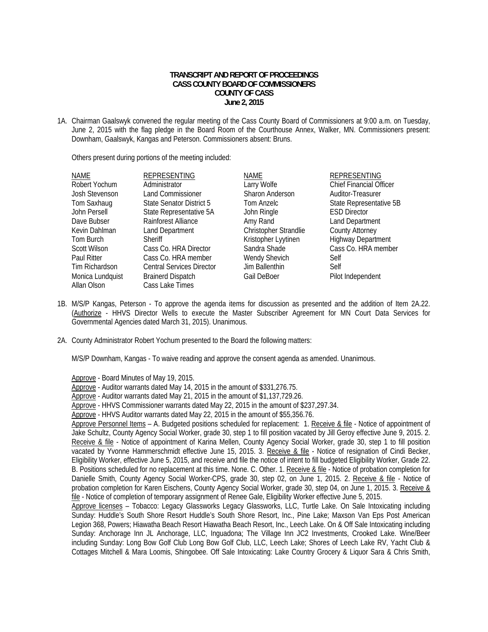## **TRANSCRIPT AND REPORT OF PROCEEDINGS CASS COUNTY BOARD OF COMMISSIONERS COUNTY OF CASS June 2, 2015**

1A. Chairman Gaalswyk convened the regular meeting of the Cass County Board of Commissioners at 9:00 a.m. on Tuesday, June 2, 2015 with the flag pledge in the Board Room of the Courthouse Annex, Walker, MN. Commissioners present: Downham, Gaalswyk, Kangas and Peterson. Commissioners absent: Bruns.

Others present during portions of the meeting included:

| NAME               | <b>REPRESENTING</b>              | <b>NAME</b>           | <b>REPRESENTING</b>            |
|--------------------|----------------------------------|-----------------------|--------------------------------|
| Robert Yochum      | Administrator                    | Larry Wolfe           | <b>Chief Financial Officer</b> |
| Josh Stevenson     | <b>Land Commissioner</b>         | Sharon Anderson       | Auditor-Treasurer              |
| Tom Saxhaug        | State Senator District 5         | Tom Anzelc            | State Representative 5B        |
| John Persell       | State Representative 5A          | John Ringle           | <b>ESD Director</b>            |
| Dave Bubser        | Rainforest Alliance              | Amy Rand              | <b>Land Department</b>         |
| Kevin Dahlman      | Land Department                  | Christopher Strandlie | <b>County Attorney</b>         |
| Tom Burch          | <b>Sheriff</b>                   | Kristopher Lyytinen   | <b>Highway Department</b>      |
| Scott Wilson       | Cass Co. HRA Director            | Sandra Shade          | Cass Co. HRA member            |
| <b>Paul Ritter</b> | Cass Co. HRA member              | Wendy Shevich         | Self                           |
| Tim Richardson     | <b>Central Services Director</b> | Jim Ballenthin        | Self                           |
| Monica Lundquist   | <b>Brainerd Dispatch</b>         | Gail DeBoer           | Pilot Independent              |
| Allan Olson        | Cass Lake Times                  |                       |                                |

- 1B. M/S/P Kangas, Peterson To approve the agenda items for discussion as presented and the addition of Item 2A.22. (Authorize - HHVS Director Wells to execute the Master Subscriber Agreement for MN Court Data Services for Governmental Agencies dated March 31, 2015). Unanimous.
- 2A. County Administrator Robert Yochum presented to the Board the following matters:

M/S/P Downham, Kangas - To waive reading and approve the consent agenda as amended. Unanimous.

Approve - Board Minutes of May 19, 2015.

Approve - Auditor warrants dated May 14, 2015 in the amount of \$331,276.75.

Approve - Auditor warrants dated May 21, 2015 in the amount of \$1,137,729.26.

Approve - HHVS Commissioner warrants dated May 22, 2015 in the amount of \$237,297.34.

Approve - HHVS Auditor warrants dated May 22, 2015 in the amount of \$55,356.76.

Approve Personnel Items – A. Budgeted positions scheduled for replacement: 1. Receive & file - Notice of appointment of Jake Schultz, County Agency Social Worker, grade 30, step 1 to fill position vacated by Jill Geroy effective June 9, 2015. 2. Receive & file - Notice of appointment of Karina Mellen, County Agency Social Worker, grade 30, step 1 to fill position vacated by Yvonne Hammerschmidt effective June 15, 2015. 3. Receive & file - Notice of resignation of Cindi Becker, Eligibility Worker, effective June 5, 2015, and receive and file the notice of intent to fill budgeted Eligibility Worker, Grade 22. B. Positions scheduled for no replacement at this time. None. C. Other. 1. Receive & file - Notice of probation completion for Danielle Smith, County Agency Social Worker-CPS, grade 30, step 02, on June 1, 2015. 2. Receive & file - Notice of probation completion for Karen Eischens, County Agency Social Worker, grade 30, step 04, on June 1, 2015. 3. Receive & file - Notice of completion of temporary assignment of Renee Gale, Eligibility Worker effective June 5, 2015.

Approve licenses - Tobacco: Legacy Glassworks Legacy Glassworks, LLC, Turtle Lake. On Sale Intoxicating including Sunday: Huddle's South Shore Resort Huddle's South Shore Resort, Inc., Pine Lake; Maxson Van Eps Post American Legion 368, Powers; Hiawatha Beach Resort Hiawatha Beach Resort, Inc., Leech Lake. On & Off Sale Intoxicating including Sunday: Anchorage Inn JL Anchorage, LLC, Inguadona; The Village Inn JC2 Investments, Crooked Lake. Wine/Beer including Sunday: Long Bow Golf Club Long Bow Golf Club, LLC, Leech Lake; Shores of Leech Lake RV, Yacht Club & Cottages Mitchell & Mara Loomis, Shingobee. Off Sale Intoxicating: Lake Country Grocery & Liquor Sara & Chris Smith,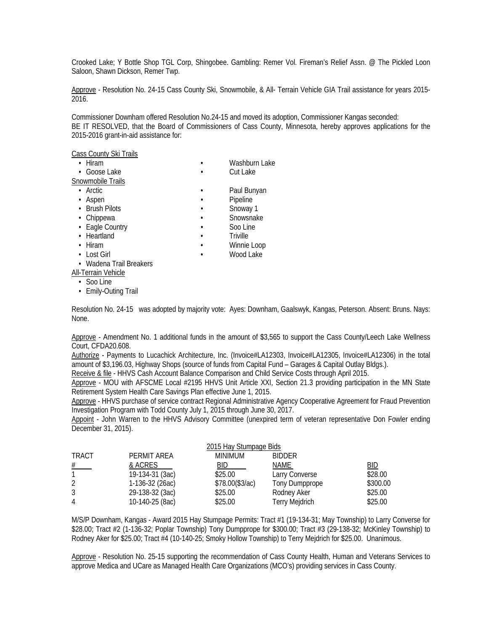Crooked Lake; Y Bottle Shop TGL Corp, Shingobee. Gambling: Remer Vol. Fireman's Relief Assn. @ The Pickled Loon Saloon, Shawn Dickson, Remer Twp.

 Approve - Resolution No. 24-15 Cass County Ski, Snowmobile, & All- Terrain Vehicle GIA Trail assistance for years 2015- 2016.

Commissioner Downham offered Resolution No.24-15 and moved its adoption, Commissioner Kangas seconded: BE IT RESOLVED, that the Board of Commissioners of Cass County, Minnesota, hereby approves applications for the 2015-2016 grant-in-aid assistance for:

Cass County Ski Trails

| $\cdot$ Hiram           |  | Washburn Lake |  |  |  |  |  |
|-------------------------|--|---------------|--|--|--|--|--|
| • Goose Lake            |  | Cut Lake      |  |  |  |  |  |
| Snowmobile Trails       |  |               |  |  |  |  |  |
| $\cdot$ Arctic          |  | Paul Bunyan   |  |  |  |  |  |
| • Aspen                 |  | Pipeline      |  |  |  |  |  |
| • Brush Pilots          |  | Snoway 1      |  |  |  |  |  |
| • Chippewa              |  | Snowsnake     |  |  |  |  |  |
| • Eagle Country         |  | Soo Line      |  |  |  |  |  |
| • Heartland             |  | Triville      |  |  |  |  |  |
| $\cdot$ Hiram           |  | Winnie Loop   |  |  |  |  |  |
| • Lost Girl             |  | Wood Lake     |  |  |  |  |  |
| • Wadena Trail Breakers |  |               |  |  |  |  |  |
| All-Terrain Vehicle     |  |               |  |  |  |  |  |

• Soo Line

• Emily-Outing Trail

Resolution No. 24-15 was adopted by majority vote: Ayes: Downham, Gaalswyk, Kangas, Peterson. Absent: Bruns. Nays: None.

 Approve - Amendment No. 1 additional funds in the amount of \$3,565 to support the Cass County/Leech Lake Wellness Court, CFDA20.608.

 Authorize - Payments to Lucachick Architecture, Inc. (Invoice#LA12303, Invoice#LA12305, Invoice#LA12306) in the total amount of \$3,196.03, Highway Shops (source of funds from Capital Fund – Garages & Capital Outlay Bldgs.).

Receive & file - HHVS Cash Account Balance Comparison and Child Service Costs through April 2015.

 Approve - MOU with AFSCME Local #2195 HHVS Unit Article XXI, Section 21.3 providing participation in the MN State Retirement System Health Care Savings Plan effective June 1, 2015.

 Approve - HHVS purchase of service contract Regional Administrative Agency Cooperative Agreement for Fraud Prevention Investigation Program with Todd County July 1, 2015 through June 30, 2017.

 Appoint - John Warren to the HHVS Advisory Committee (unexpired term of veteran representative Don Fowler ending December 31, 2015).

|              | 2015 Hay Stumpage Bids |                  |                       |          |  |  |
|--------------|------------------------|------------------|-----------------------|----------|--|--|
| <b>TRACT</b> | PERMIT AREA            | <b>MINIMUM</b>   | <b>BIDDER</b>         |          |  |  |
|              | & ACRES                | BID.             | <b>NAME</b>           | BID      |  |  |
|              | 19-134-31 (3ac)        | \$25.00          | Larry Converse        | \$28.00  |  |  |
|              | 1-136-32 (26ac)        | \$78.00 (\$3/ac) | Tony Dumpprope        | \$300.00 |  |  |
|              | 29-138-32 (3ac)        | \$25.00          | Rodney Aker           | \$25.00  |  |  |
|              | 10-140-25 (8ac)        | \$25.00          | <b>Terry Mejdrich</b> | \$25.00  |  |  |

 M/S/P Downham, Kangas - Award 2015 Hay Stumpage Permits: Tract #1 (19-134-31; May Township) to Larry Converse for \$28.00; Tract #2 (1-136-32; Poplar Township) Tony Dumpprope for \$300.00; Tract #3 (29-138-32; McKinley Township) to Rodney Aker for \$25.00; Tract #4 (10-140-25; Smoky Hollow Township) to Terry Mejdrich for \$25.00. Unanimous.

Approve - Resolution No. 25-15 supporting the recommendation of Cass County Health, Human and Veterans Services to approve Medica and UCare as Managed Health Care Organizations (MCO's) providing services in Cass County.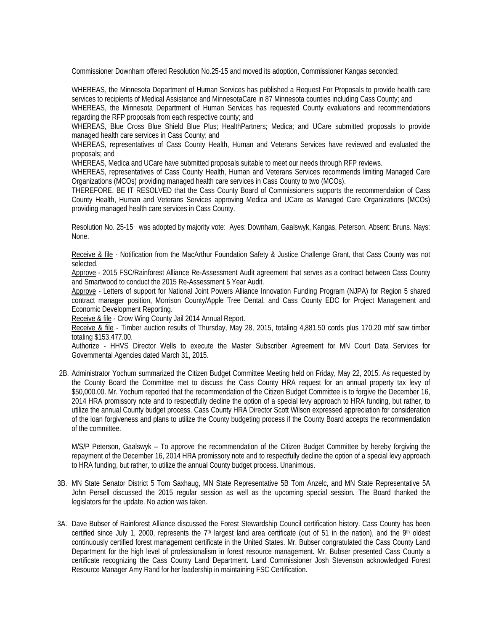Commissioner Downham offered Resolution No.25-15 and moved its adoption, Commissioner Kangas seconded:

WHEREAS, the Minnesota Department of Human Services has published a Request For Proposals to provide health care services to recipients of Medical Assistance and MinnesotaCare in 87 Minnesota counties including Cass County; and

WHEREAS, the Minnesota Department of Human Services has requested County evaluations and recommendations regarding the RFP proposals from each respective county; and

WHEREAS, Blue Cross Blue Shield Blue Plus; HealthPartners; Medica; and UCare submitted proposals to provide managed health care services in Cass County; and

WHEREAS, representatives of Cass County Health, Human and Veterans Services have reviewed and evaluated the proposals; and

WHEREAS, Medica and UCare have submitted proposals suitable to meet our needs through RFP reviews.

WHEREAS, representatives of Cass County Health, Human and Veterans Services recommends limiting Managed Care Organizations (MCOs) providing managed health care services in Cass County to two (MCOs).

THEREFORE, BE IT RESOLVED that the Cass County Board of Commissioners supports the recommendation of Cass County Health, Human and Veterans Services approving Medica and UCare as Managed Care Organizations (MCOs) providing managed health care services in Cass County.

Resolution No. 25-15 was adopted by majority vote: Ayes: Downham, Gaalswyk, Kangas, Peterson. Absent: Bruns. Nays: None.

 Receive & file - Notification from the MacArthur Foundation Safety & Justice Challenge Grant, that Cass County was not selected.

 Approve - 2015 FSC/Rainforest Alliance Re-Assessment Audit agreement that serves as a contract between Cass County and Smartwood to conduct the 2015 Re-Assessment 5 Year Audit.

 Approve - Letters of support for National Joint Powers Alliance Innovation Funding Program (NJPA) for Region 5 shared contract manager position, Morrison County/Apple Tree Dental, and Cass County EDC for Project Management and Economic Development Reporting.

Receive & file - Crow Wing County Jail 2014 Annual Report.

 Receive & file - Timber auction results of Thursday, May 28, 2015, totaling 4,881.50 cords plus 170.20 mbf saw timber totaling \$153,477.00.

Authorize - HHVS Director Wells to execute the Master Subscriber Agreement for MN Court Data Services for Governmental Agencies dated March 31, 2015.

 2B. Administrator Yochum summarized the Citizen Budget Committee Meeting held on Friday, May 22, 2015. As requested by the County Board the Committee met to discuss the Cass County HRA request for an annual property tax levy of \$50,000.00. Mr. Yochum reported that the recommendation of the Citizen Budget Committee is to forgive the December 16, 2014 HRA promissory note and to respectfully decline the option of a special levy approach to HRA funding, but rather, to utilize the annual County budget process. Cass County HRA Director Scott Wilson expressed appreciation for consideration of the loan forgiveness and plans to utilize the County budgeting process if the County Board accepts the recommendation of the committee.

 M/S/P Peterson, Gaalswyk – To approve the recommendation of the Citizen Budget Committee by hereby forgiving the repayment of the December 16, 2014 HRA promissory note and to respectfully decline the option of a special levy approach to HRA funding, but rather, to utilize the annual County budget process. Unanimous.

- 3B. MN State Senator District 5 Tom Saxhaug, MN State Representative 5B Tom Anzelc, and MN State Representative 5A John Persell discussed the 2015 regular session as well as the upcoming special session. The Board thanked the legislators for the update. No action was taken.
- 3A. Dave Bubser of Rainforest Alliance discussed the Forest Stewardship Council certification history. Cass County has been certified since July 1, 2000, represents the  $7<sup>th</sup>$  largest land area certificate (out of 51 in the nation), and the 9<sup>th</sup> oldest continuously certified forest management certificate in the United States. Mr. Bubser congratulated the Cass County Land Department for the high level of professionalism in forest resource management. Mr. Bubser presented Cass County a certificate recognizing the Cass County Land Department. Land Commissioner Josh Stevenson acknowledged Forest Resource Manager Amy Rand for her leadership in maintaining FSC Certification.